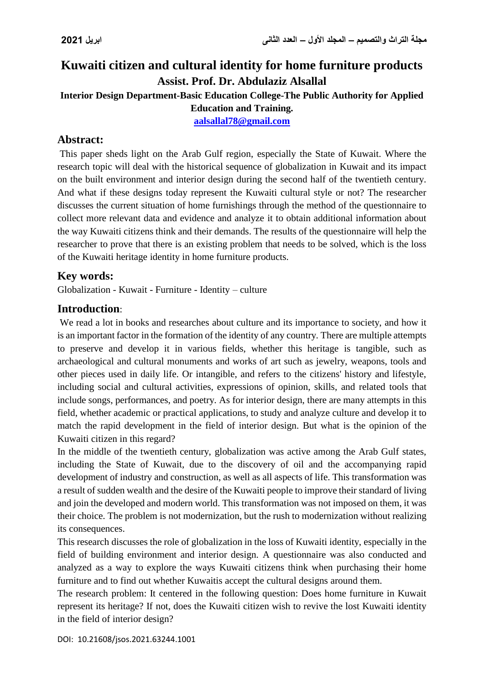# **Kuwaiti citizen and cultural identity for home furniture products Assist. Prof. Dr. Abdulaziz Alsallal Interior Design Department-Basic Education College-The Public Authority for Applied**

**Education and Training.**

**[aalsallal78@gmail.com](mailto:aalsallal78@gmail.com)**

## **Abstract:**

This paper sheds light on the Arab Gulf region, especially the State of Kuwait. Where the research topic will deal with the historical sequence of globalization in Kuwait and its impact on the built environment and interior design during the second half of the twentieth century. And what if these designs today represent the Kuwaiti cultural style or not? The researcher discusses the current situation of home furnishings through the method of the questionnaire to collect more relevant data and evidence and analyze it to obtain additional information about the way Kuwaiti citizens think and their demands. The results of the questionnaire will help the researcher to prove that there is an existing problem that needs to be solved, which is the loss of the Kuwaiti heritage identity in home furniture products.

### **Key words:**

Globalization - Kuwait - Furniture - Identity – culture

### **Introduction**:

We read a lot in books and researches about culture and its importance to society, and how it is an important factor in the formation of the identity of any country. There are multiple attempts to preserve and develop it in various fields, whether this heritage is tangible, such as archaeological and cultural monuments and works of art such as jewelry, weapons, tools and other pieces used in daily life. Or intangible, and refers to the citizens' history and lifestyle, including social and cultural activities, expressions of opinion, skills, and related tools that include songs, performances, and poetry. As for interior design, there are many attempts in this field, whether academic or practical applications, to study and analyze culture and develop it to match the rapid development in the field of interior design. But what is the opinion of the Kuwaiti citizen in this regard?

In the middle of the twentieth century, globalization was active among the Arab Gulf states, including the State of Kuwait, due to the discovery of oil and the accompanying rapid development of industry and construction, as well as all aspects of life. This transformation was a result of sudden wealth and the desire of the Kuwaiti people to improve their standard of living and join the developed and modern world. This transformation was not imposed on them, it was their choice. The problem is not modernization, but the rush to modernization without realizing its consequences.

This research discusses the role of globalization in the loss of Kuwaiti identity, especially in the field of building environment and interior design. A questionnaire was also conducted and analyzed as a way to explore the ways Kuwaiti citizens think when purchasing their home furniture and to find out whether Kuwaitis accept the cultural designs around them.

The research problem: It centered in the following question: Does home furniture in Kuwait represent its heritage? If not, does the Kuwaiti citizen wish to revive the lost Kuwaiti identity in the field of interior design?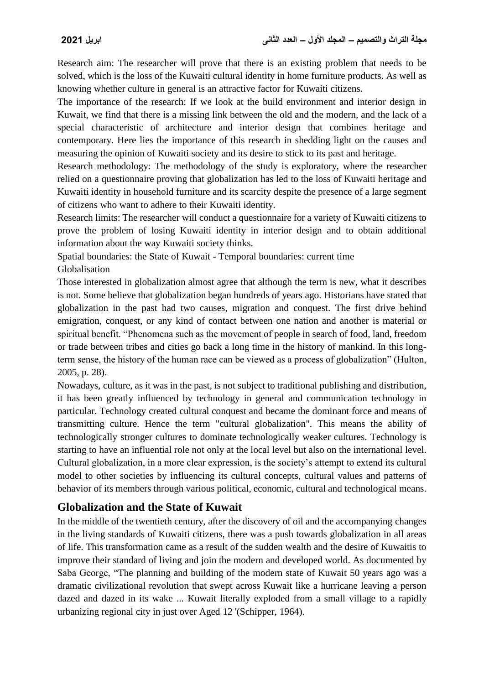Research aim: The researcher will prove that there is an existing problem that needs to be solved, which is the loss of the Kuwaiti cultural identity in home furniture products. As well as knowing whether culture in general is an attractive factor for Kuwaiti citizens.

The importance of the research: If we look at the build environment and interior design in Kuwait, we find that there is a missing link between the old and the modern, and the lack of a special characteristic of architecture and interior design that combines heritage and contemporary. Here lies the importance of this research in shedding light on the causes and measuring the opinion of Kuwaiti society and its desire to stick to its past and heritage.

Research methodology: The methodology of the study is exploratory, where the researcher relied on a questionnaire proving that globalization has led to the loss of Kuwaiti heritage and Kuwaiti identity in household furniture and its scarcity despite the presence of a large segment of citizens who want to adhere to their Kuwaiti identity.

Research limits: The researcher will conduct a questionnaire for a variety of Kuwaiti citizens to prove the problem of losing Kuwaiti identity in interior design and to obtain additional information about the way Kuwaiti society thinks.

Spatial boundaries: the State of Kuwait - Temporal boundaries: current time Globalisation

Those interested in globalization almost agree that although the term is new, what it describes is not. Some believe that globalization began hundreds of years ago. Historians have stated that globalization in the past had two causes, migration and conquest. The first drive behind emigration, conquest, or any kind of contact between one nation and another is material or spiritual benefit. "Phenomena such as the movement of people in search of food, land, freedom or trade between tribes and cities go back a long time in the history of mankind. In this longterm sense, the history of the human race can be viewed as a process of globalization" (Hulton, 2005, p. 28).

Nowadays, culture, as it was in the past, is not subject to traditional publishing and distribution, it has been greatly influenced by technology in general and communication technology in particular. Technology created cultural conquest and became the dominant force and means of transmitting culture. Hence the term "cultural globalization". This means the ability of technologically stronger cultures to dominate technologically weaker cultures. Technology is starting to have an influential role not only at the local level but also on the international level. Cultural globalization, in a more clear expression, is the society's attempt to extend its cultural model to other societies by influencing its cultural concepts, cultural values and patterns of behavior of its members through various political, economic, cultural and technological means.

## **Globalization and the State of Kuwait**

In the middle of the twentieth century, after the discovery of oil and the accompanying changes in the living standards of Kuwaiti citizens, there was a push towards globalization in all areas of life. This transformation came as a result of the sudden wealth and the desire of Kuwaitis to improve their standard of living and join the modern and developed world. As documented by Saba George, "The planning and building of the modern state of Kuwait 50 years ago was a dramatic civilizational revolution that swept across Kuwait like a hurricane leaving a person dazed and dazed in its wake ... Kuwait literally exploded from a small village to a rapidly urbanizing regional city in just over Aged 12 '(Schipper, 1964).